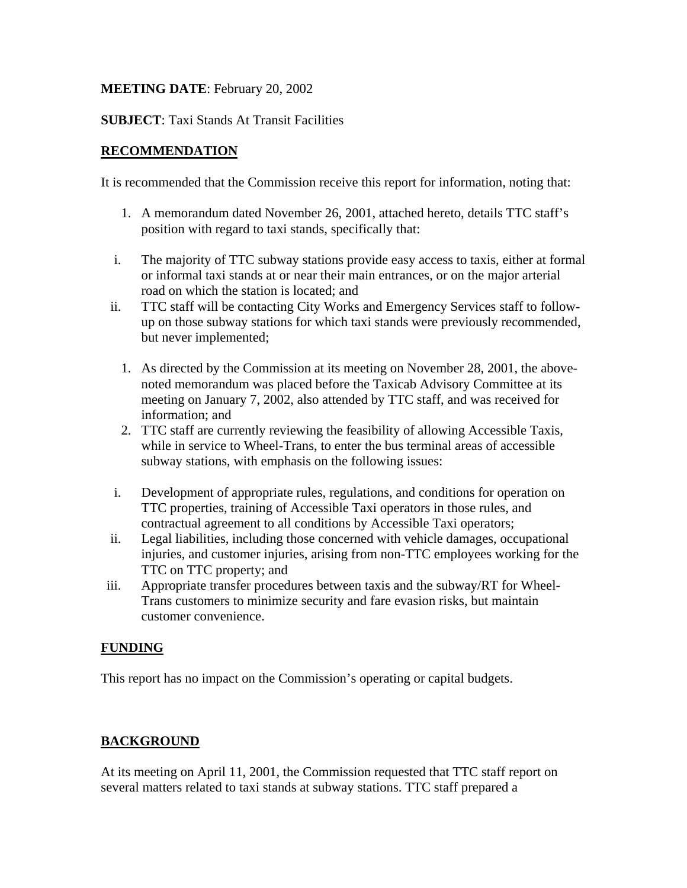### **MEETING DATE**: February 20, 2002

### **SUBJECT**: Taxi Stands At Transit Facilities

## **RECOMMENDATION**

It is recommended that the Commission receive this report for information, noting that:

- 1. A memorandum dated November 26, 2001, attached hereto, details TTC staff's position with regard to taxi stands, specifically that:
- i. The majority of TTC subway stations provide easy access to taxis, either at formal or informal taxi stands at or near their main entrances, or on the major arterial road on which the station is located; and
- ii. TTC staff will be contacting City Works and Emergency Services staff to followup on those subway stations for which taxi stands were previously recommended, but never implemented;
	- 1. As directed by the Commission at its meeting on November 28, 2001, the abovenoted memorandum was placed before the Taxicab Advisory Committee at its meeting on January 7, 2002, also attended by TTC staff, and was received for information; and
	- 2. TTC staff are currently reviewing the feasibility of allowing Accessible Taxis, while in service to Wheel-Trans, to enter the bus terminal areas of accessible subway stations, with emphasis on the following issues:
- i. Development of appropriate rules, regulations, and conditions for operation on TTC properties, training of Accessible Taxi operators in those rules, and contractual agreement to all conditions by Accessible Taxi operators;
- ii. Legal liabilities, including those concerned with vehicle damages, occupational injuries, and customer injuries, arising from non-TTC employees working for the TTC on TTC property; and
- iii. Appropriate transfer procedures between taxis and the subway/RT for Wheel-Trans customers to minimize security and fare evasion risks, but maintain customer convenience.

# **FUNDING**

This report has no impact on the Commission's operating or capital budgets.

# **BACKGROUND**

At its meeting on April 11, 2001, the Commission requested that TTC staff report on several matters related to taxi stands at subway stations. TTC staff prepared a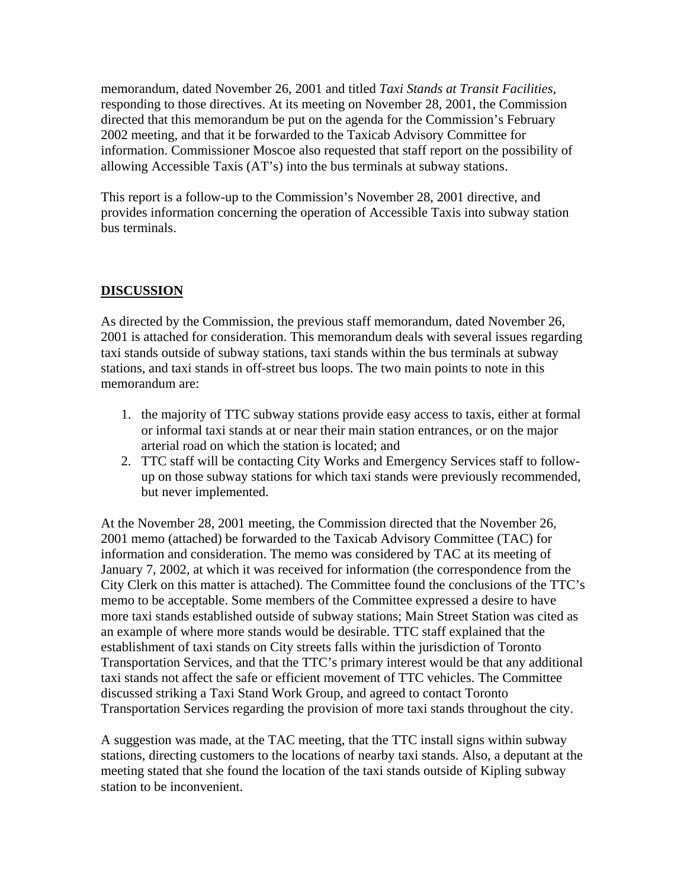memorandum, dated November 26, 2001 and titled *Taxi Stands at Transit Facilities,* responding to those directives. At its meeting on November 28, 2001, the Commission directed that this memorandum be put on the agenda for the Commission's February 2002 meeting, and that it be forwarded to the Taxicab Advisory Committee for information. Commissioner Moscoe also requested that staff report on the possibility of allowing Accessible Taxis (AT's) into the bus terminals at subway stations.

This report is a follow-up to the Commission's November 28, 2001 directive, and provides information concerning the operation of Accessible Taxis into subway station bus terminals.

## **DISCUSSION**

As directed by the Commission, the previous staff memorandum, dated November 26, 2001 is attached for consideration. This memorandum deals with several issues regarding taxi stands outside of subway stations, taxi stands within the bus terminals at subway stations, and taxi stands in off-street bus loops. The two main points to note in this memorandum are:

- 1. the majority of TTC subway stations provide easy access to taxis, either at formal or informal taxi stands at or near their main station entrances, or on the major arterial road on which the station is located; and
- 2. TTC staff will be contacting City Works and Emergency Services staff to followup on those subway stations for which taxi stands were previously recommended, but never implemented.

At the November 28, 2001 meeting, the Commission directed that the November 26, 2001 memo (attached) be forwarded to the Taxicab Advisory Committee (TAC) for information and consideration. The memo was considered by TAC at its meeting of January 7, 2002, at which it was received for information (the correspondence from the City Clerk on this matter is attached). The Committee found the conclusions of the TTC's memo to be acceptable. Some members of the Committee expressed a desire to have more taxi stands established outside of subway stations; Main Street Station was cited as an example of where more stands would be desirable. TTC staff explained that the establishment of taxi stands on City streets falls within the jurisdiction of Toronto Transportation Services, and that the TTC's primary interest would be that any additional taxi stands not affect the safe or efficient movement of TTC vehicles. The Committee discussed striking a Taxi Stand Work Group, and agreed to contact Toronto Transportation Services regarding the provision of more taxi stands throughout the city.

A suggestion was made, at the TAC meeting, that the TTC install signs within subway stations, directing customers to the locations of nearby taxi stands. Also, a deputant at the meeting stated that she found the location of the taxi stands outside of Kipling subway station to be inconvenient.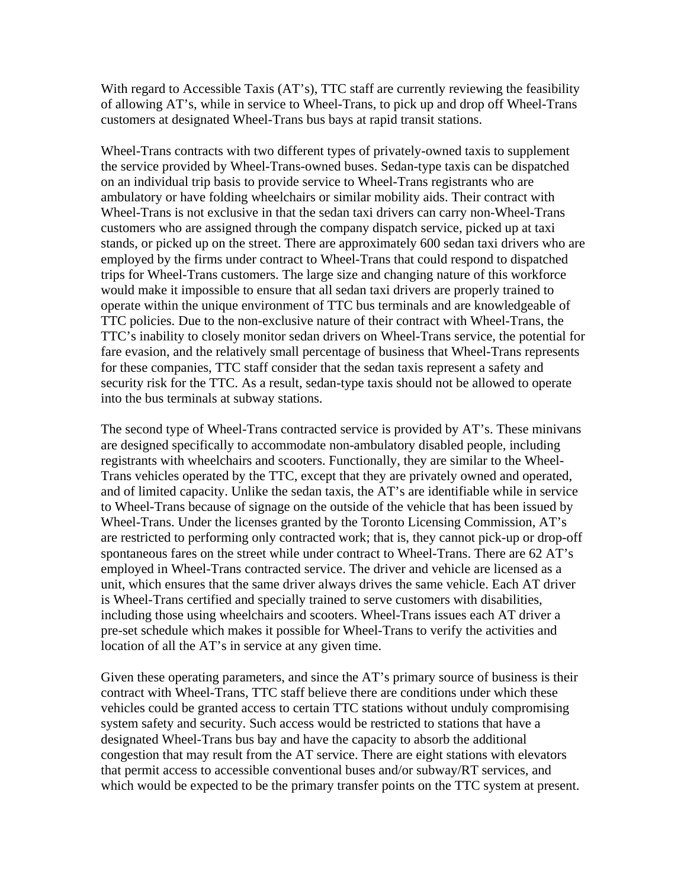With regard to Accessible Taxis (AT's), TTC staff are currently reviewing the feasibility of allowing AT's, while in service to Wheel-Trans, to pick up and drop off Wheel-Trans customers at designated Wheel-Trans bus bays at rapid transit stations.

Wheel-Trans contracts with two different types of privately-owned taxis to supplement the service provided by Wheel-Trans-owned buses. Sedan-type taxis can be dispatched on an individual trip basis to provide service to Wheel-Trans registrants who are ambulatory or have folding wheelchairs or similar mobility aids. Their contract with Wheel-Trans is not exclusive in that the sedan taxi drivers can carry non-Wheel-Trans customers who are assigned through the company dispatch service, picked up at taxi stands, or picked up on the street. There are approximately 600 sedan taxi drivers who are employed by the firms under contract to Wheel-Trans that could respond to dispatched trips for Wheel-Trans customers. The large size and changing nature of this workforce would make it impossible to ensure that all sedan taxi drivers are properly trained to operate within the unique environment of TTC bus terminals and are knowledgeable of TTC policies. Due to the non-exclusive nature of their contract with Wheel-Trans, the TTC's inability to closely monitor sedan drivers on Wheel-Trans service, the potential for fare evasion, and the relatively small percentage of business that Wheel-Trans represents for these companies, TTC staff consider that the sedan taxis represent a safety and security risk for the TTC. As a result, sedan-type taxis should not be allowed to operate into the bus terminals at subway stations.

The second type of Wheel-Trans contracted service is provided by AT's. These minivans are designed specifically to accommodate non-ambulatory disabled people, including registrants with wheelchairs and scooters. Functionally, they are similar to the Wheel-Trans vehicles operated by the TTC, except that they are privately owned and operated, and of limited capacity. Unlike the sedan taxis, the AT's are identifiable while in service to Wheel-Trans because of signage on the outside of the vehicle that has been issued by Wheel-Trans. Under the licenses granted by the Toronto Licensing Commission, AT's are restricted to performing only contracted work; that is, they cannot pick-up or drop-off spontaneous fares on the street while under contract to Wheel-Trans. There are 62 AT's employed in Wheel-Trans contracted service. The driver and vehicle are licensed as a unit, which ensures that the same driver always drives the same vehicle. Each AT driver is Wheel-Trans certified and specially trained to serve customers with disabilities, including those using wheelchairs and scooters. Wheel-Trans issues each AT driver a pre-set schedule which makes it possible for Wheel-Trans to verify the activities and location of all the AT's in service at any given time.

Given these operating parameters, and since the AT's primary source of business is their contract with Wheel-Trans, TTC staff believe there are conditions under which these vehicles could be granted access to certain TTC stations without unduly compromising system safety and security. Such access would be restricted to stations that have a designated Wheel-Trans bus bay and have the capacity to absorb the additional congestion that may result from the AT service. There are eight stations with elevators that permit access to accessible conventional buses and/or subway/RT services, and which would be expected to be the primary transfer points on the TTC system at present.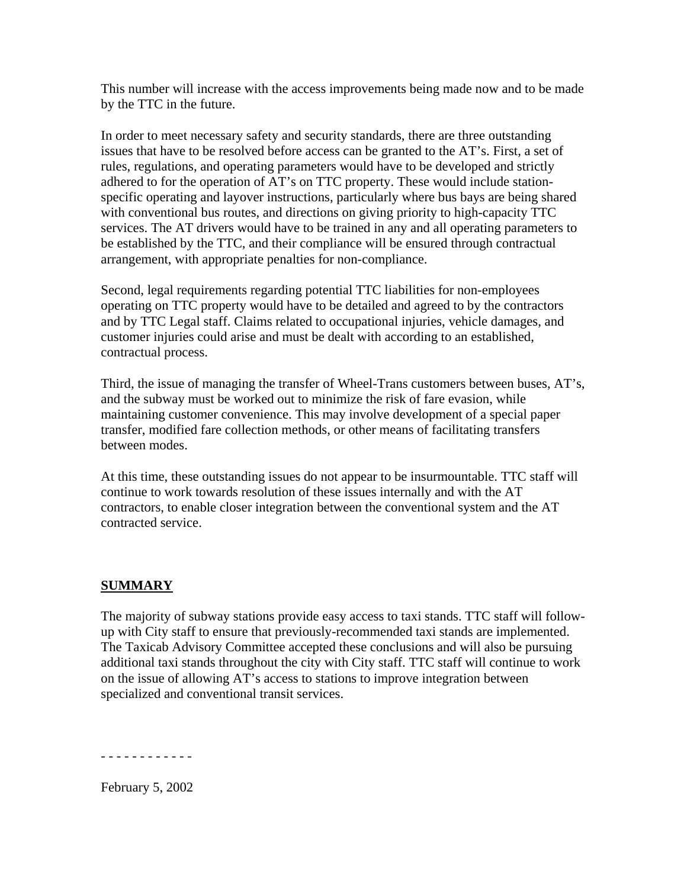This number will increase with the access improvements being made now and to be made by the TTC in the future.

In order to meet necessary safety and security standards, there are three outstanding issues that have to be resolved before access can be granted to the AT's. First, a set of rules, regulations, and operating parameters would have to be developed and strictly adhered to for the operation of AT's on TTC property. These would include stationspecific operating and layover instructions, particularly where bus bays are being shared with conventional bus routes, and directions on giving priority to high-capacity TTC services. The AT drivers would have to be trained in any and all operating parameters to be established by the TTC, and their compliance will be ensured through contractual arrangement, with appropriate penalties for non-compliance.

Second, legal requirements regarding potential TTC liabilities for non-employees operating on TTC property would have to be detailed and agreed to by the contractors and by TTC Legal staff. Claims related to occupational injuries, vehicle damages, and customer injuries could arise and must be dealt with according to an established, contractual process.

Third, the issue of managing the transfer of Wheel-Trans customers between buses, AT's, and the subway must be worked out to minimize the risk of fare evasion, while maintaining customer convenience. This may involve development of a special paper transfer, modified fare collection methods, or other means of facilitating transfers between modes.

At this time, these outstanding issues do not appear to be insurmountable. TTC staff will continue to work towards resolution of these issues internally and with the AT contractors, to enable closer integration between the conventional system and the AT contracted service.

#### **SUMMARY**

The majority of subway stations provide easy access to taxi stands. TTC staff will followup with City staff to ensure that previously-recommended taxi stands are implemented. The Taxicab Advisory Committee accepted these conclusions and will also be pursuing additional taxi stands throughout the city with City staff. TTC staff will continue to work on the issue of allowing AT's access to stations to improve integration between specialized and conventional transit services.

- - - - - - - - - - - -

February 5, 2002